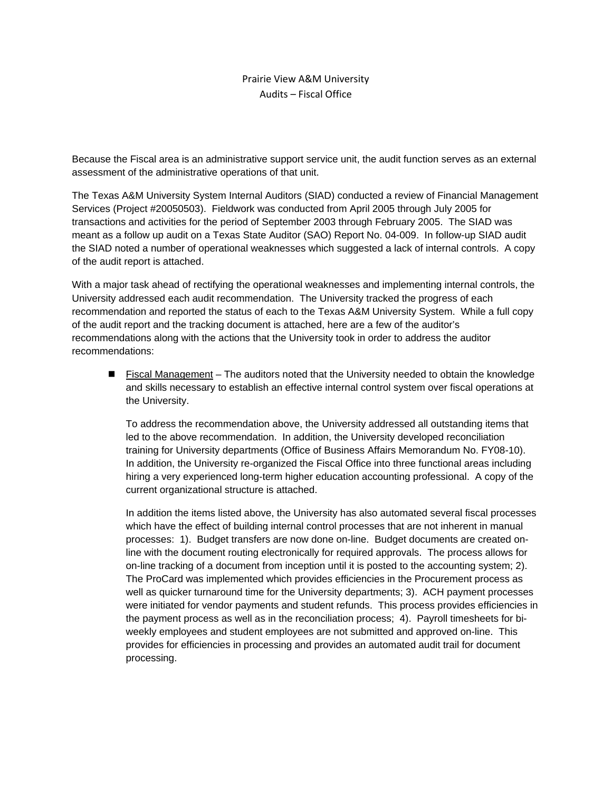#### Prairie View A&M University Audits – Fiscal Office

Because the Fiscal area is an administrative support service unit, the audit function serves as an external assessment of the administrative operations of that unit.

The Texas A&M University System Internal Auditors (SIAD) conducted a review of Financial Management Services (Project #20050503). Fieldwork was conducted from April 2005 through July 2005 for transactions and activities for the period of September 2003 through February 2005. The SIAD was meant as a follow up audit on a Texas State Auditor (SAO) Report No. 04-009. In follow-up SIAD audit the SIAD noted a number of operational weaknesses which suggested a lack of internal controls. A copy of the audit report is attached.

With a major task ahead of rectifying the operational weaknesses and implementing internal controls, the University addressed each audit recommendation. The University tracked the progress of each recommendation and reported the status of each to the Texas A&M University System. While a full copy of the audit report and the tracking document is attached, here are a few of the auditor's recommendations along with the actions that the University took in order to address the auditor recommendations:

 Fiscal Management – The auditors noted that the University needed to obtain the knowledge and skills necessary to establish an effective internal control system over fiscal operations at the University.

To address the recommendation above, the University addressed all outstanding items that led to the above recommendation. In addition, the University developed reconciliation training for University departments (Office of Business Affairs Memorandum No. FY08-10). In addition, the University re-organized the Fiscal Office into three functional areas including hiring a very experienced long-term higher education accounting professional. A copy of the current organizational structure is attached.

In addition the items listed above, the University has also automated several fiscal processes which have the effect of building internal control processes that are not inherent in manual processes: 1). Budget transfers are now done on-line. Budget documents are created online with the document routing electronically for required approvals. The process allows for on-line tracking of a document from inception until it is posted to the accounting system; 2). The ProCard was implemented which provides efficiencies in the Procurement process as well as quicker turnaround time for the University departments; 3). ACH payment processes were initiated for vendor payments and student refunds. This process provides efficiencies in the payment process as well as in the reconciliation process; 4). Payroll timesheets for biweekly employees and student employees are not submitted and approved on-line. This provides for efficiencies in processing and provides an automated audit trail for document processing.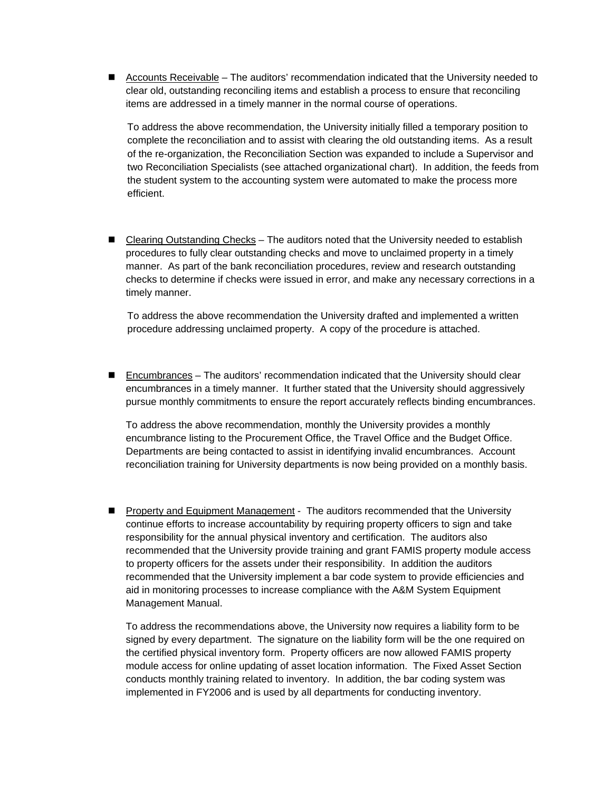■ Accounts Receivable – The auditors' recommendation indicated that the University needed to clear old, outstanding reconciling items and establish a process to ensure that reconciling items are addressed in a timely manner in the normal course of operations.

To address the above recommendation, the University initially filled a temporary position to complete the reconciliation and to assist with clearing the old outstanding items. As a result of the re-organization, the Reconciliation Section was expanded to include a Supervisor and two Reconciliation Specialists (see attached organizational chart). In addition, the feeds from the student system to the accounting system were automated to make the process more efficient.

■ Clearing Outstanding Checks – The auditors noted that the University needed to establish procedures to fully clear outstanding checks and move to unclaimed property in a timely manner. As part of the bank reconciliation procedures, review and research outstanding checks to determine if checks were issued in error, and make any necessary corrections in a timely manner.

To address the above recommendation the University drafted and implemented a written procedure addressing unclaimed property. A copy of the procedure is attached.

 Encumbrances – The auditors' recommendation indicated that the University should clear encumbrances in a timely manner. It further stated that the University should aggressively pursue monthly commitments to ensure the report accurately reflects binding encumbrances.

To address the above recommendation, monthly the University provides a monthly encumbrance listing to the Procurement Office, the Travel Office and the Budget Office. Departments are being contacted to assist in identifying invalid encumbrances. Account reconciliation training for University departments is now being provided on a monthly basis.

**Property and Equipment Management - The auditors recommended that the University** continue efforts to increase accountability by requiring property officers to sign and take responsibility for the annual physical inventory and certification. The auditors also recommended that the University provide training and grant FAMIS property module access to property officers for the assets under their responsibility. In addition the auditors recommended that the University implement a bar code system to provide efficiencies and aid in monitoring processes to increase compliance with the A&M System Equipment Management Manual.

To address the recommendations above, the University now requires a liability form to be signed by every department. The signature on the liability form will be the one required on the certified physical inventory form. Property officers are now allowed FAMIS property module access for online updating of asset location information. The Fixed Asset Section conducts monthly training related to inventory. In addition, the bar coding system was implemented in FY2006 and is used by all departments for conducting inventory.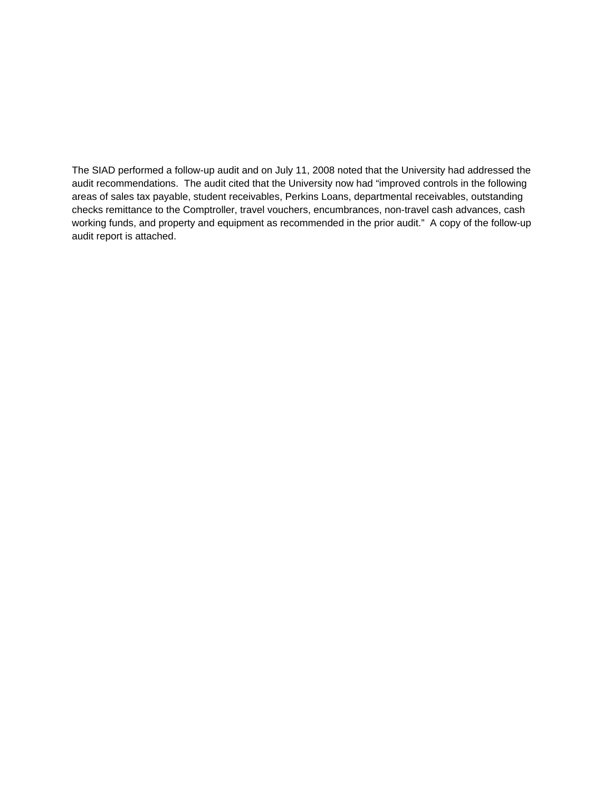The SIAD performed a follow-up audit and on July 11, 2008 noted that the University had addressed the audit recommendations. The audit cited that the University now had "improved controls in the following areas of sales tax payable, student receivables, Perkins Loans, departmental receivables, outstanding checks remittance to the Comptroller, travel vouchers, encumbrances, non-travel cash advances, cash working funds, and property and equipment as recommended in the prior audit." A copy of the follow-up audit report is attached.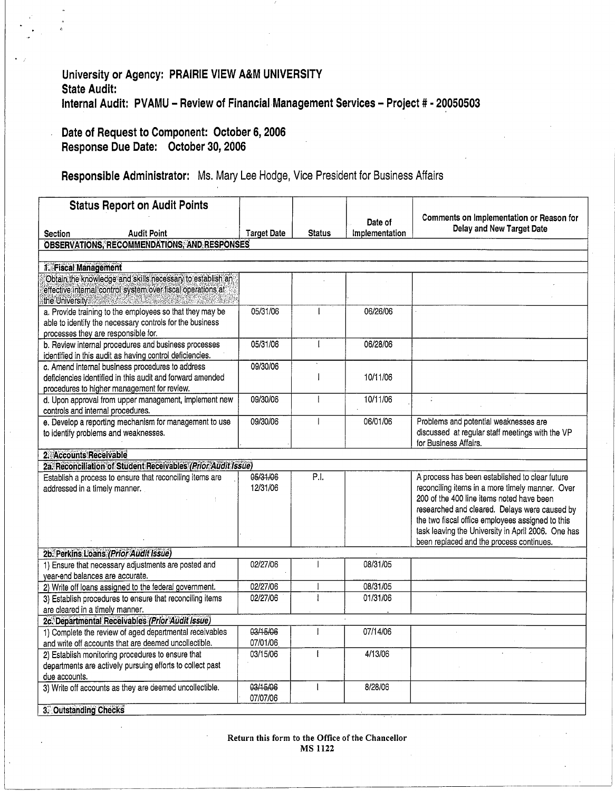# University or Agency: PRAIRIE VIEW A&M UNIVERSITY **State Audit:** Internal Audit: PVAMU - Review of Financial Management Services - Project # - 20050503

# Date of Request to Component: October 6, 2006 Response Due Date: October 30, 2006

# Responsible Administrator: Ms. Mary Lee Hodge, Vice President for Business Affairs

| <b>Status Report on Audit Points</b>                                                                                                                                |                      |               |                |                                                                                                                                                                                                                                                                                                                                                       |
|---------------------------------------------------------------------------------------------------------------------------------------------------------------------|----------------------|---------------|----------------|-------------------------------------------------------------------------------------------------------------------------------------------------------------------------------------------------------------------------------------------------------------------------------------------------------------------------------------------------------|
|                                                                                                                                                                     |                      |               | Date of        | Comments on Implementation or Reason for<br>Delay and New Target Date                                                                                                                                                                                                                                                                                 |
| Section<br><b>Audit Point</b>                                                                                                                                       | <b>Target Date</b>   | <b>Status</b> | Implementation |                                                                                                                                                                                                                                                                                                                                                       |
| <b>OBSERVATIONS, RECOMMENDATIONS, AND RESPONSES</b>                                                                                                                 |                      |               |                |                                                                                                                                                                                                                                                                                                                                                       |
| 1. Fiscal Management                                                                                                                                                |                      |               |                |                                                                                                                                                                                                                                                                                                                                                       |
| Obtain the knowledge and skills necessary to establish an                                                                                                           |                      |               |                |                                                                                                                                                                                                                                                                                                                                                       |
| effective internal control system over fiscal operations at<br>the University. The Contract of the University of the University of the University of the University |                      |               |                |                                                                                                                                                                                                                                                                                                                                                       |
| a. Provide training to the employees so that they may be<br>able to identify the necessary controls for the business<br>processes they are responsible for.         | 05/31/06             |               | 06/26/06       |                                                                                                                                                                                                                                                                                                                                                       |
| b. Review internal procedures and business processes<br>identified in this audit as having control deficiencies.                                                    | 05/31/06             | ſ             | 06/28/06       |                                                                                                                                                                                                                                                                                                                                                       |
| c. Amend internal business procedures to address                                                                                                                    | 09/30/06             |               |                |                                                                                                                                                                                                                                                                                                                                                       |
| deficiencies identified in this audit and forward amended<br>procedures to higher management for review.                                                            |                      | $\mathbf{I}$  | 10/11/06       |                                                                                                                                                                                                                                                                                                                                                       |
| d. Upon approval from upper management, implement new                                                                                                               | 09/30/06             |               | 10/11/06       | $\mathcal{L}$                                                                                                                                                                                                                                                                                                                                         |
| controls and internal procedures.                                                                                                                                   |                      |               |                |                                                                                                                                                                                                                                                                                                                                                       |
| e. Develop a reporting mechanism for management to use<br>to identify problems and weaknesses.                                                                      | 09/30/06             |               | 06/01/06       | Problems and potential weaknesses are<br>discussed at regular staff meetings with the VP<br>for Business Affairs.                                                                                                                                                                                                                                     |
| 2. Accounts Receivable                                                                                                                                              |                      |               |                |                                                                                                                                                                                                                                                                                                                                                       |
| 2a. Reconciliation of Student Receivables (Prior Audit Issue)                                                                                                       |                      |               |                |                                                                                                                                                                                                                                                                                                                                                       |
| Establish a process to ensure that reconciling items are<br>addressed in a timely manner.                                                                           | 05/31/06<br>12/31/06 | P.I.          |                | A process has been established to clear future<br>reconciling items in a more timely manner. Over<br>200 of the 400 line items noted have been<br>researched and cleared. Delays were caused by<br>the two fiscal office employees assigned to this<br>task leaving the University in April 2006. One has<br>been replaced and the process continues. |
| 2b. Perkins Loans (Prior Audit Issue)                                                                                                                               |                      |               |                |                                                                                                                                                                                                                                                                                                                                                       |
| 1) Ensure that necessary adjustments are posted and                                                                                                                 | 02/27/06             |               | 08/31/05       |                                                                                                                                                                                                                                                                                                                                                       |
| year-end balances are accurate.<br>2) Write off loans assigned to the federal government.                                                                           | 02/27/06             |               | 08/31/05       |                                                                                                                                                                                                                                                                                                                                                       |
| 3) Establish procedures to ensure that reconciling items                                                                                                            | 02/27/06             |               | 01/31/06       |                                                                                                                                                                                                                                                                                                                                                       |
| are cleared in a timely manner.                                                                                                                                     |                      |               |                |                                                                                                                                                                                                                                                                                                                                                       |
| 2c. Departmental Receivables (Prior Audit Issue)                                                                                                                    |                      |               |                |                                                                                                                                                                                                                                                                                                                                                       |
| 1) Complete the review of aged departmental receivables                                                                                                             | 03/15/06             |               | 07/14/06       |                                                                                                                                                                                                                                                                                                                                                       |
| and write off accounts that are deemed uncollectible.                                                                                                               | 07/01/06             |               |                |                                                                                                                                                                                                                                                                                                                                                       |
| 2) Establish monitoring procedures to ensure that                                                                                                                   | 03/15/06             |               | 4/13/06        |                                                                                                                                                                                                                                                                                                                                                       |
| departments are actively pursuing efforts to collect past                                                                                                           |                      |               |                |                                                                                                                                                                                                                                                                                                                                                       |
| due accounts.                                                                                                                                                       |                      |               |                |                                                                                                                                                                                                                                                                                                                                                       |
| 3) Write off accounts as they are deemed uncollectible.                                                                                                             | 03/15/06<br>07/07/06 |               | 8/28/06        |                                                                                                                                                                                                                                                                                                                                                       |
| 3. Outstanding Checks                                                                                                                                               |                      |               |                |                                                                                                                                                                                                                                                                                                                                                       |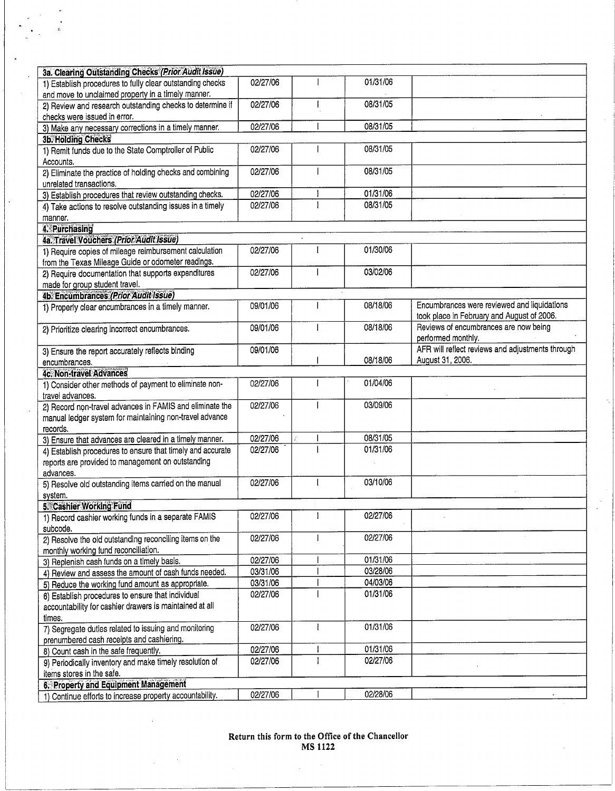| 3a. Clearing Outstanding Checks (Prior Audit Issue)                                                             |          |          |                                                                                           |
|-----------------------------------------------------------------------------------------------------------------|----------|----------|-------------------------------------------------------------------------------------------|
| 1) Establish procedures to fully clear outstanding checks<br>and move to unclaimed property in a timely manner. | 02/27/06 | 01/31/06 |                                                                                           |
| 2) Review and research outstanding checks to determine if<br>checks were issued in error.                       | 02/27/06 | 08/31/05 |                                                                                           |
| 3) Make any necessary corrections in a timely manner.                                                           | 02/27/06 | 08/31/05 |                                                                                           |
| 3b. Holding Checks                                                                                              |          |          |                                                                                           |
| 1) Remit funds due to the State Comptroller of Public<br>Accounts.                                              | 02/27/06 | 08/31/05 |                                                                                           |
| 2) Eliminate the practice of holding checks and combining                                                       | 02/27/06 | 08/31/05 |                                                                                           |
| unrelated transactions.<br>3) Establish procedures that review outstanding checks.                              | 02/27/06 | 01/31/06 |                                                                                           |
| 4) Take actions to resolve outstanding issues in a timely                                                       | 02/27/06 | 08/31/05 |                                                                                           |
| manner.                                                                                                         |          |          |                                                                                           |
| 4. Purchasing                                                                                                   |          |          |                                                                                           |
| 4a. Travel Vouchers (Prior Audit Issue)                                                                         |          |          |                                                                                           |
| 1) Require copies of mileage reimbursement calculation                                                          | 02/27/06 | 01/30/06 |                                                                                           |
| from the Texas Mileage Guide or odometer readings.                                                              |          |          |                                                                                           |
| 2) Require documentation that supports expenditures                                                             | 02/27/06 | 03/02/06 |                                                                                           |
| made for group student travel.                                                                                  |          |          |                                                                                           |
| 4b. Encumbrances (Prior Audit Issue)                                                                            |          |          |                                                                                           |
| 1) Properly clear encumbrances in a timely manner.                                                              | 09/01/06 | 08/18/06 | Encumbrances were reviewed and liquidations<br>took place in February and August of 2006. |
| 2) Prioritize clearing incorrect encumbrances.                                                                  | 09/01/06 | 08/18/06 | Reviews of encumbrances are now being<br>performed monthly.                               |
| 3) Ensure the report accurately reflects binding                                                                | 09/01/06 |          | AFR will reflect reviews and adjustments through                                          |
| encumbrances.                                                                                                   |          | 08/18/06 | August 31, 2006.                                                                          |
| <b>4c. Non-travel Advances</b>                                                                                  |          |          |                                                                                           |
| 1) Consider other methods of payment to eliminate non-<br>travel advances.                                      | 02/27/06 | 01/04/06 |                                                                                           |
| 2) Record non-travel advances in FAMIS and eliminate the                                                        | 02/27/06 | 03/09/06 |                                                                                           |
| manual ledger system for maintaining non-travel advance                                                         |          |          |                                                                                           |
| records.                                                                                                        |          |          |                                                                                           |
| 3) Ensure that advances are cleared in a timely manner.                                                         | 02/27/06 | 08/31/05 |                                                                                           |
| 4) Establish procedures to ensure that timely and accurate                                                      | 02/27/06 | 01/31/06 |                                                                                           |
| reports are provided to management on outstanding                                                               |          |          |                                                                                           |
| advances.                                                                                                       |          |          |                                                                                           |
| 5) Resolve old outstanding items carried on the manual                                                          | 02/27/06 | 03/10/06 |                                                                                           |
| system.                                                                                                         |          |          |                                                                                           |
| 5. Cashier Working Fund                                                                                         |          |          |                                                                                           |
| 1) Record cashier working funds in a separate FAMIS<br>subcode.                                                 | 02/27/06 | 02/27/06 |                                                                                           |
| 2) Resolve the old outstanding reconciling items on the<br>monthly working fund reconciliation.                 | 02/27/06 | 02/27/06 |                                                                                           |
| 3) Replenish cash funds on a timely basis.                                                                      | 02/27/06 | 01/31/06 |                                                                                           |
| 4) Review and assess the amount of cash funds needed.                                                           | 03/31/06 | 03/28/06 |                                                                                           |
| 5) Reduce the working fund amount as appropriate.                                                               | 03/31/06 | 04/03/06 |                                                                                           |
| 6) Establish procedures to ensure that individual                                                               | 02/27/06 | 01/31/06 |                                                                                           |
| accountability for cashier drawers is maintained at all                                                         |          |          |                                                                                           |
| times.                                                                                                          |          |          |                                                                                           |
| 7) Segregate duties related to issuing and monitoring                                                           | 02/27/06 | 01/31/06 |                                                                                           |
| prenumbered cash receipts and cashiering.                                                                       |          |          |                                                                                           |
| 8) Count cash in the safe frequently.                                                                           | 02/27/06 | 01/31/06 |                                                                                           |
| 9) Periodically inventory and make timely resolution of                                                         | 02/27/06 | 02/27/06 |                                                                                           |
| items stores in the safe.                                                                                       |          |          |                                                                                           |
| 6. Property and Equipment Management                                                                            |          |          |                                                                                           |
| 1) Continue efforts to increase property accountability.                                                        |          | 02/28/06 |                                                                                           |

È,

 $\hat{\boldsymbol{\beta}}$ l.

 $\bar{z}$ 

 $\frac{1}{2}$  $\hat{\boldsymbol{\beta}}$ i.

 $\ddot{\phantom{0}}$ 

 $\bar{z}$ 

Return this form to the Office of the Chancellor<br>MS 1122

 $\sim$ 

 $\sim$   $\sim$  $\Delta \phi$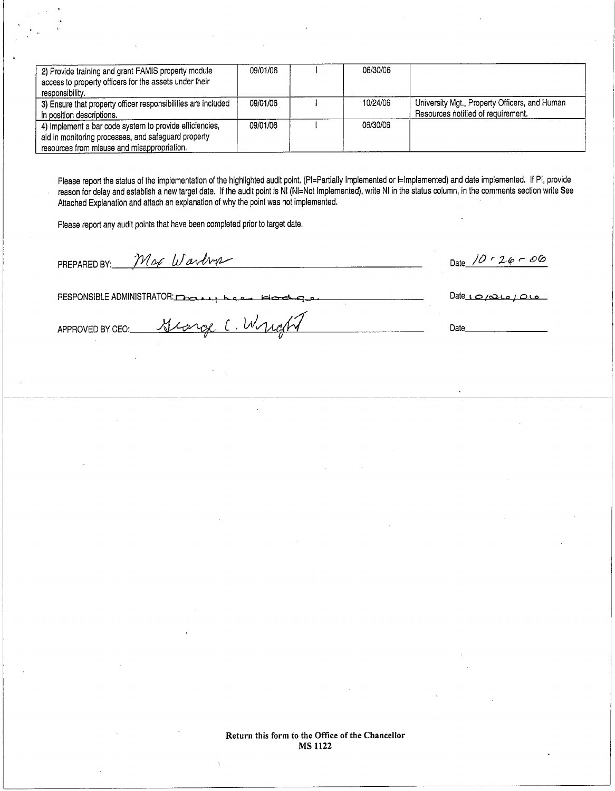| 2) Provide training and grant FAMIS property module<br>access to property officers for the assets under their<br>responsibility.                              | 09/01/06 | 06/30/06 |                                                                                     |
|---------------------------------------------------------------------------------------------------------------------------------------------------------------|----------|----------|-------------------------------------------------------------------------------------|
| 3) Ensure that property officer responsibilities are included<br>in position descriptions.                                                                    | 09/01/06 | 10/24/06 | University Mgt., Property Officers, and Human<br>Resources notified of requirement. |
| 4) Implement a bar code system to provide efficiencies,<br>aid in monitoring processes, and safeguard property<br>resources from misuse and misappropriation. | 09/01/06 | 06/30/06 |                                                                                     |

Please report the status of the implementation of the highlighted audit point. (PI=Partially Implemented or I=Implemented) and date implemented. If PI, provide reason for delay and establish a new target date. If the audit point is NI (NI=Not Implemented), write NI in the status column, in the comments section write See Attached Explanation and attach an explanation of why the point was not implemented.

Please report any audit points that have been completed prior to target date.

Mor Warbur PREPARED BY:

Date  $10 - 26 - 06$ 

RESPONSIBLE ADMINISTRATOR:

carge ( Wyrosty

 $Date_1Q_2Q_4Q_5$ 

Date

APPROVED BY CEO: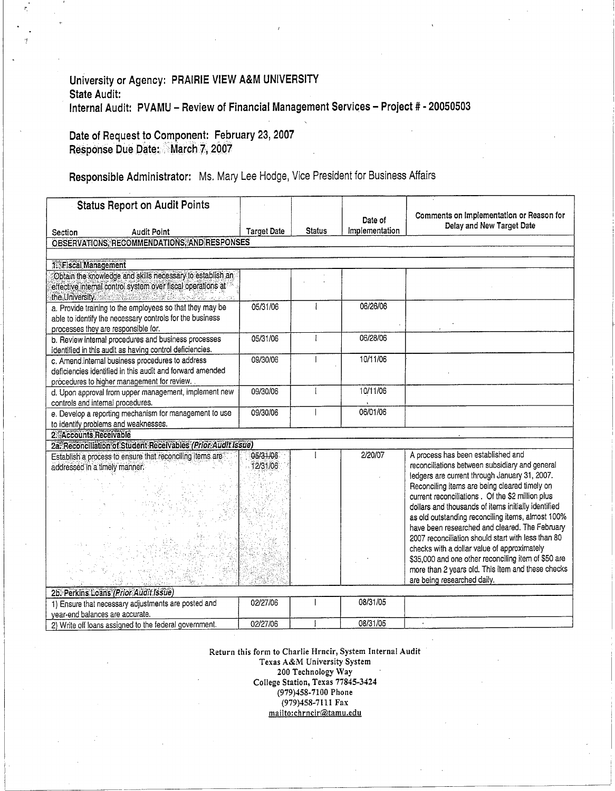#### University or Agency: PRAIRIE VIEW A&M UNIVERSITY State Audit: Internal Audit: PVAMU - Review of Financial Management Services - Project # - 20050503

#### Date of Request to Component: February 23, 2007 Response Due Date: March 7, 2007

# Responsible Administrator: Ms. Mary Lee Hodge, Vice President for Business Affairs

| <b>Status Report on Audit Points</b>                                                                                                                                                                                |                      |               |                           |                                                                                                                                                                                                                                                                                                                                                                                                          |
|---------------------------------------------------------------------------------------------------------------------------------------------------------------------------------------------------------------------|----------------------|---------------|---------------------------|----------------------------------------------------------------------------------------------------------------------------------------------------------------------------------------------------------------------------------------------------------------------------------------------------------------------------------------------------------------------------------------------------------|
| <b>Audit Point</b><br>Section                                                                                                                                                                                       | <b>Target Date</b>   | <b>Status</b> | Date of<br>Implementation | Comments on Implementation or Reason for<br>Delay and New Target Date                                                                                                                                                                                                                                                                                                                                    |
| OBSERVATIONS, RECOMMENDATIONS, AND RESPONSES                                                                                                                                                                        |                      |               |                           |                                                                                                                                                                                                                                                                                                                                                                                                          |
|                                                                                                                                                                                                                     |                      |               |                           |                                                                                                                                                                                                                                                                                                                                                                                                          |
| 1. Fiscal Management                                                                                                                                                                                                |                      |               |                           |                                                                                                                                                                                                                                                                                                                                                                                                          |
| Obtain the knowledge and skills necessary to establish an<br>effective internal control system over fiscal operations at<br>the University and contact the state of the University of the contact of the University |                      |               |                           |                                                                                                                                                                                                                                                                                                                                                                                                          |
| a. Provide training to the employees so that they may be<br>able to identify the necessary controls for the business<br>processes they are responsible for.                                                         | 05/31/06             |               | 06/26/06                  |                                                                                                                                                                                                                                                                                                                                                                                                          |
| b. Review internal procedures and business processes<br>identified in this audit as having control deficiencies.                                                                                                    | 05/31/06             | $\mathbf{1}$  | 06/28/06                  |                                                                                                                                                                                                                                                                                                                                                                                                          |
| c. Amend internal business procedures to address<br>deficiencies identified in this audit and forward amended<br>procedures to higher management for review.                                                        | 09/30/06             |               | 10/11/06                  |                                                                                                                                                                                                                                                                                                                                                                                                          |
| d. Upon approval from upper management, implement new<br>controls and internal procedures.                                                                                                                          | 09/30/06             | ł             | 10/11/06                  |                                                                                                                                                                                                                                                                                                                                                                                                          |
| e. Develop a reporting mechanism for management to use<br>to identify problems and weaknesses.                                                                                                                      | 09/30/06             |               | 06/01/06                  |                                                                                                                                                                                                                                                                                                                                                                                                          |
| 2. Accounts Receivable                                                                                                                                                                                              |                      |               |                           |                                                                                                                                                                                                                                                                                                                                                                                                          |
| 2a. Reconciliation of Student Receivables (Prior Audit Issue)                                                                                                                                                       |                      |               |                           |                                                                                                                                                                                                                                                                                                                                                                                                          |
| Establish a process to ensure that reconciling items are<br>addressed in a timely manner.                                                                                                                           | 05/31/06<br>12/31/06 |               | 2/20/07                   | A process has been established and<br>reconciliations between subsidiary and general<br>ledgers are current through January 31, 2007.<br>Reconciling items are being cleared timely on<br>current reconciliations. Of the \$2 million plus<br>dollars and thousands of items initially identified<br>as old outstanding reconciling items, almost 100%<br>have been researched and cleared. The February |
|                                                                                                                                                                                                                     |                      |               |                           | 2007 reconciliation should start with less than 80<br>checks with a dollar value of approximately<br>\$35,000 and one other reconciling item of \$50 are<br>more than 2 years old. This item and these checks<br>are being researched daily.                                                                                                                                                             |
| 2b. Perkins Loans (Prior Audit Issue)                                                                                                                                                                               |                      |               |                           |                                                                                                                                                                                                                                                                                                                                                                                                          |
| 1) Ensure that necessary adjustments are posted and                                                                                                                                                                 | 02/27/06             |               | 08/31/05                  |                                                                                                                                                                                                                                                                                                                                                                                                          |
| year-end balances are accurate.                                                                                                                                                                                     |                      |               |                           |                                                                                                                                                                                                                                                                                                                                                                                                          |
| 2) Write off loans assigned to the federal government.                                                                                                                                                              | 02/27/06             |               | 08/31/05                  | $\cdot$                                                                                                                                                                                                                                                                                                                                                                                                  |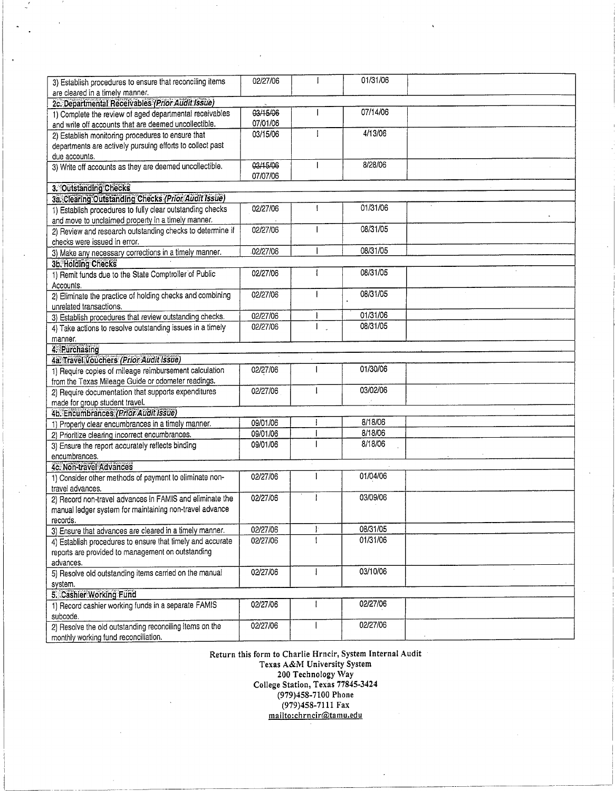| 3) Establish procedures to ensure that reconciling items   | 02/27/06 | I | 01/31/06 |  |
|------------------------------------------------------------|----------|---|----------|--|
| are cleared in a timely manner.                            |          |   |          |  |
| 2c. Departmental Receivables (Prior Audit Issue)           |          |   |          |  |
| 1) Complete the review of aged departmental receivables    | 03/15/06 |   | 07/14/06 |  |
| and write off accounts that are deemed uncollectible.      | 07/01/06 |   |          |  |
| 2) Establish monitoring procedures to ensure that          | 03/15/06 |   | 4/13/06  |  |
| departments are actively pursuing efforts to collect past  |          |   |          |  |
| due accounts.                                              | 03/15/06 |   | 8/28/06  |  |
| 3) Write off accounts as they are deemed uncollectible.    | 07/07/06 |   |          |  |
|                                                            |          |   |          |  |
| 3. Outstanding Checks                                      |          |   |          |  |
| 3a. Clearing Outstanding Checks (Prior Audit Issue)        |          |   | 01/31/06 |  |
| 1) Establish procedures to fully clear outstanding checks  | 02/27/06 |   |          |  |
| and move to unclaimed property in a timely manner.         | 02/27/06 |   | 08/31/05 |  |
| 2) Review and research outstanding checks to determine if  |          |   |          |  |
| checks were issued in error.                               | 02/27/06 |   | 08/31/05 |  |
| 3) Make any necessary corrections in a timely manner.      |          |   |          |  |
| 3b. Holding Checks                                         | 02/27/06 |   | 08/31/05 |  |
| 1) Remit funds due to the State Comptroller of Public      |          |   |          |  |
| Accounts.                                                  | 02/27/06 |   | 08/31/05 |  |
| 2) Eliminate the practice of holding checks and combining  |          |   |          |  |
| unrelated transactions.                                    | 02/27/06 |   | 01/31/06 |  |
| 3) Establish procedures that review outstanding checks.    | 02/27/06 |   | 08/31/05 |  |
| 4) Take actions to resolve outstanding issues in a timely  |          |   |          |  |
| manner.                                                    |          |   |          |  |
| 4. Purchasing<br>4a. Travel Vouchers (Prior Audit Issue)   |          |   |          |  |
| 1) Require copies of mileage reimbursement calculation     | 02/27/06 |   | 01/30/06 |  |
| from the Texas Mileage Guide or odometer readings.         |          |   |          |  |
| 2) Require documentation that supports expenditures        | 02/27/06 |   | 03/02/06 |  |
| made for group student travel.                             |          |   |          |  |
| 4b. Encumbrances (Prior Audit Issue)                       |          |   |          |  |
| 1) Properly clear encumbrances in a timely manner.         | 09/01/06 |   | 8/18/06  |  |
| 2) Prioritize clearing incorrect encumbrances.             | 09/01/06 |   | 8/18/06  |  |
| 3) Ensure the report accurately reflects binding           | 09/01/06 |   | 8/18/06  |  |
| encumbrances.                                              |          |   |          |  |
| 4c. Non-travel Advances                                    |          |   |          |  |
| 1) Consider other methods of payment to eliminate non-     | 02/27/06 |   | 01/04/06 |  |
| travel advances.                                           |          |   |          |  |
| 2) Record non-travel advances in FAMIS and eliminate the   | 02/27/06 |   | 03/09/06 |  |
| manual ledger system for maintaining non-travel advance    |          |   |          |  |
| records.                                                   |          |   |          |  |
| 3) Ensure that advances are cleared in a timely manner.    | 02/27/06 |   | 08/31/05 |  |
| 4) Establish procedures to ensure that timely and accurate | 02/27/06 |   | 01/31/06 |  |
| reports are provided to management on outstanding          |          |   |          |  |
| advances.                                                  |          |   |          |  |
| 5) Resolve old outstanding items carried on the manual     | 02/27/06 |   | 03/10/06 |  |
| system.                                                    |          |   |          |  |
| 5. Cashier Working Fund                                    |          |   |          |  |
| 1) Record cashier working funds in a separate FAMIS        | 02/27/06 |   | 02/27/06 |  |
| subcode.                                                   |          |   |          |  |
| 2) Resolve the old outstanding reconciling items on the    | 02/27/06 |   | 02/27/06 |  |
| monthly working fund reconciliation.                       |          |   |          |  |
|                                                            |          |   |          |  |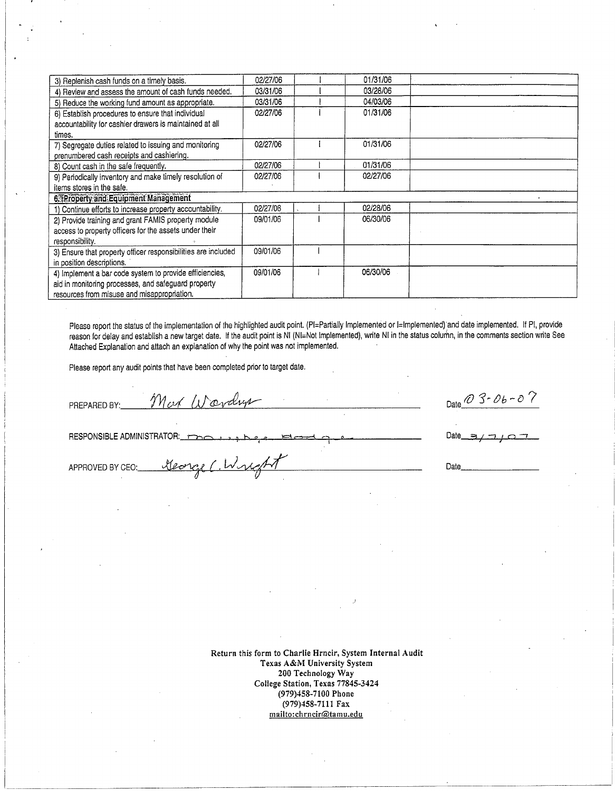| 3) Replenish cash funds on a timely basis.                    | 02/27/06 | 01/31/06 |  |
|---------------------------------------------------------------|----------|----------|--|
| 4) Review and assess the amount of cash funds needed.         | 03/31/06 | 03/28/06 |  |
| 5) Reduce the working fund amount as appropriate.             | 03/31/06 | 04/03/06 |  |
| 6) Establish procedures to ensure that individual             | 02/27/06 | 01/31/06 |  |
| accountability for cashier drawers is maintained at all       |          |          |  |
| times.                                                        |          |          |  |
| 7) Segregate duties related to issuing and monitoring         | 02/27/06 | 01/31/06 |  |
| prenumbered cash receipts and cashiering.                     |          |          |  |
| 8) Count cash in the safe frequently.                         | 02/27/06 | 01/31/06 |  |
| 9) Periodically inventory and make timely resolution of       | 02/27/06 | 02/27/06 |  |
| items stores in the safe.                                     |          |          |  |
| 6. Property and Equipment Management                          |          |          |  |
| 1) Continue efforts to increase property accountability.      | 02/27/06 | 02/28/06 |  |
| 2) Provide training and grant FAMIS property module           | 09/01/06 | 06/30/06 |  |
| access to property officers for the assets under their        |          |          |  |
| responsibility.                                               |          |          |  |
| 3) Ensure that property officer responsibilities are included | 09/01/06 |          |  |
| in position descriptions.                                     |          |          |  |
| 4) Implement a bar code system to provide efficiencies,       | 09/01/06 | 06/30/06 |  |
| aid in monitoring processes, and safeguard property           |          |          |  |
| resources from misuse and misappropriation.                   |          |          |  |

Please report the status of the implementation of the highlighted audit point. (PI=Partially Implemented or I=Implemented) and date implemented. If PI, provide reason for delay and establish a new target date. If the audit point is NI (NI=Not Implemented), write NI in the status column, in the comments section write See Attached Explanation and attach an explanation of why the point was not implemented.

Please report any audit points that have been completed prior to target date.

George C. Wright

Most Wardrys PREPARED BY:

RESPONSIBLE ADMINISTRATOR:

APPROVED BY CEO:

Date  $\overline{0}$  3-06-07

Date

Date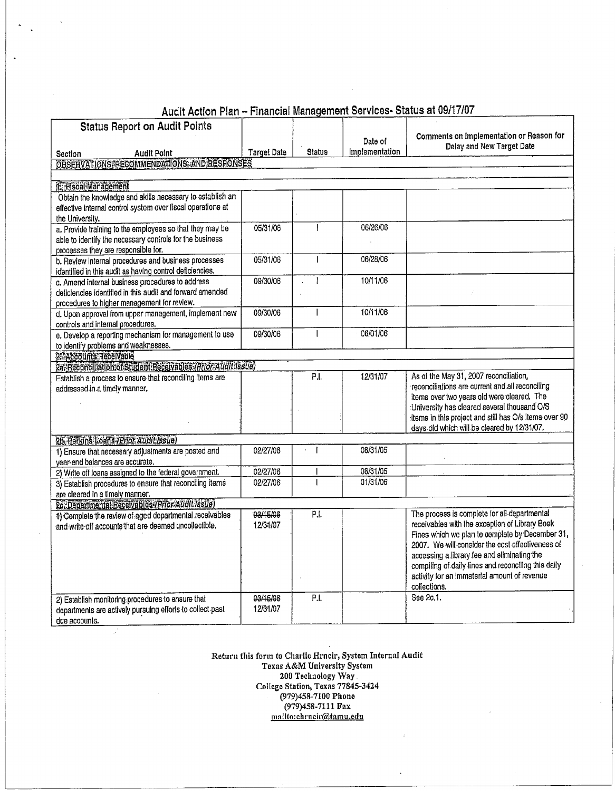| <b>Status Report on Audit Points</b>                                                   |                    |                   |                |                                                                                                      |
|----------------------------------------------------------------------------------------|--------------------|-------------------|----------------|------------------------------------------------------------------------------------------------------|
|                                                                                        |                    |                   | Date of        | Comments on Implementation or Reason for                                                             |
| <b>Audit Point</b><br>Section                                                          | <b>Target Date</b> | <b>Status</b>     | Implementation | Delay and New Target Date                                                                            |
| OBSERVATIONS, RECOMMENDATIONS, AND RESPONSES                                           |                    |                   |                |                                                                                                      |
|                                                                                        |                    |                   |                |                                                                                                      |
| <b>IL Elscal Management</b>                                                            |                    |                   |                |                                                                                                      |
| Obtain the knowledge and skills necessary to establish an                              |                    |                   |                |                                                                                                      |
| effective internal control system over fiscal operations at                            |                    |                   |                |                                                                                                      |
| the University.                                                                        |                    |                   |                |                                                                                                      |
| a. Provide training to the employees so that they may be                               | 05/31/06           |                   | 06/26/06       |                                                                                                      |
| able to identify the necessary controls for the business                               |                    |                   |                |                                                                                                      |
| processes they are responsible for.                                                    |                    |                   |                |                                                                                                      |
| b. Review internal procedures and business processes                                   | 05/31/06           |                   | 06/28/06       |                                                                                                      |
| identified in this audit as having control deficiencies.                               |                    |                   |                |                                                                                                      |
| c. Amend internal business procedures to address                                       | 09/30/06           |                   | 10/11/06       |                                                                                                      |
| deficiencies identified in this audit and forward amended                              |                    |                   |                |                                                                                                      |
| procedures to higher management for review.                                            |                    |                   |                |                                                                                                      |
| d. Upon approval from upper management, implement new                                  | 09/30/06           |                   | 10/11/06       |                                                                                                      |
| controls and internal procedures.                                                      |                    |                   |                |                                                                                                      |
| e. Develop a reporting mechanism for management to use                                 | 09/30/06           |                   | $-06/01/06$    |                                                                                                      |
| to identify problems and weaknesses.                                                   |                    |                   |                |                                                                                                      |
| 2 Accounts Receivable                                                                  |                    |                   |                |                                                                                                      |
| 2a. Reconciliation of Student Receivables (Prior Audit Issue)                          |                    |                   |                |                                                                                                      |
| Establish a process to ensure that reconciling items are                               |                    | P.I.              | 12/31/07       | As of the May 31, 2007 reconciliation,                                                               |
| addressed in a timely manner.                                                          |                    |                   |                | reconciliations are current and all reconciling                                                      |
|                                                                                        |                    |                   |                | items over two years old were cleared. The                                                           |
|                                                                                        |                    |                   |                | University has cleared several thousand O/S                                                          |
|                                                                                        |                    |                   |                | items in this project and still has O/s items over 90<br>days old which will be cleared by 12/31/07. |
|                                                                                        |                    |                   |                |                                                                                                      |
| 26. Perkins Loans (Prior Audit Issue)                                                  | 02/27/06           | $\epsilon$        | 08/31/05       |                                                                                                      |
| 1) Ensure that necessary adjustments are posted and<br>year-end balances are accurate. |                    |                   |                |                                                                                                      |
| 2) Write off loans assigned to the federal government.                                 | 02/27/06           |                   | 08/31/05       |                                                                                                      |
| 3) Establish procedures to ensure that reconciling items                               | 02/27/06           |                   | 01/31/06       |                                                                                                      |
| are cleared in a timely manner.                                                        |                    |                   |                |                                                                                                      |
| 2c. Departmental Receivables (Prior Audit Issue)                                       |                    |                   |                |                                                                                                      |
| 1) Complete the review of aged departmental receivables                                | 03/15/06           | $\overline{P.I.}$ |                | The process is complete for all departmental                                                         |
| and write off accounts that are deemed uncollectible.                                  | 12/31/07           |                   |                | receivables with the exception of Library Book                                                       |
|                                                                                        |                    |                   |                | Fines which we plan to complete by December 31,                                                      |
|                                                                                        |                    |                   |                | 2007. We will consider the cost effectiveness of                                                     |
|                                                                                        |                    |                   |                | accessing a library fee and eliminating the                                                          |
|                                                                                        |                    |                   |                | compiling of daily lines and reconciling this daily                                                  |
|                                                                                        |                    |                   |                | activity for an immaterial amount of revenue                                                         |
|                                                                                        |                    |                   |                | collections.                                                                                         |
| 2) Establish monitoring procedures to ensure that                                      | 03/15/06           | P.I.              |                | See 2c.1.                                                                                            |
| departments are actively pursuing efforts to collect past                              | 12/31/07           |                   |                |                                                                                                      |
| due accounts.                                                                          |                    |                   |                |                                                                                                      |

Audit Action Plan - Financial Management Services- Status at 09/17/07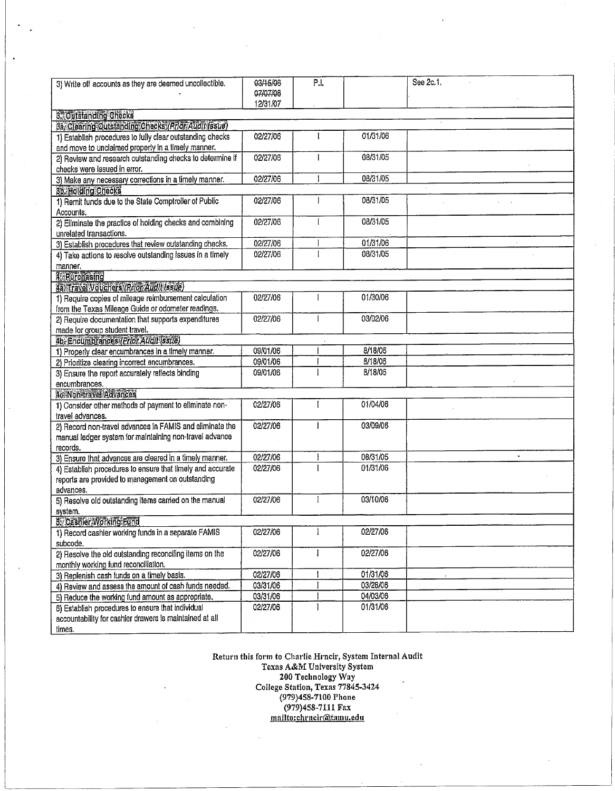| 3) Write off accounts as they are deemed uncollectible.                                                         | 03/15/06<br>07/07/06<br>12/31/07 | P.I. |          | See 2c.1. |
|-----------------------------------------------------------------------------------------------------------------|----------------------------------|------|----------|-----------|
| 3. Outstanding Checks                                                                                           |                                  |      |          |           |
| 3a. Clearing Outstanding Checks (Prior Audit Issue)                                                             |                                  |      |          |           |
| 1) Establish procedures to fully clear outstanding checks<br>and move to unclaimed property in a timely manner. | 02/27/06                         | L    | 01/31/06 |           |
| 2) Review and research outstanding checks to determine if<br>checks were issued in error.                       | 02/27/06                         | 1    | 08/31/05 |           |
| 3) Make any necessary corrections in a timely manner.                                                           | 02/27/06                         |      | 08/31/05 |           |
| 3b. Holding Checks                                                                                              |                                  |      |          |           |
| 1) Remit funds due to the State Comptroller of Public                                                           | 02/27/06                         |      | 08/31/05 |           |
| Accounts.                                                                                                       |                                  |      |          |           |
| 2) Eliminate the practice of holding checks and combining                                                       | 02/27/06                         | ł    | 08/31/05 |           |
| unrelated transactions.                                                                                         |                                  |      |          |           |
| 3) Establish procedures that review outstanding checks.                                                         | 02/27/06                         |      | 01/31/06 |           |
| 4) Take actions to resolve outstanding issues in a timely                                                       | 02/27/06                         |      | 08/31/05 |           |
| manner.                                                                                                         |                                  |      |          |           |
| <b>T</b> Eurohasing                                                                                             |                                  |      |          |           |
| 4a. Travel Vouchers (Prior Audit Issue)                                                                         |                                  |      |          |           |
| 1) Require copies of mileage reimbursement calculation                                                          | 02/27/06                         |      | 01/30/06 |           |
| from the Texas Mileage Guide or odometer readings.                                                              |                                  |      |          |           |
| 2) Require documentation that supports expenditures                                                             | 02/27/06                         |      | 03/02/06 |           |
| made for group student travel.                                                                                  |                                  |      |          |           |
| 4b. Encumbrances (Prior Audit Issue)                                                                            |                                  |      |          |           |
| 1) Properly clear encumbrances in a timely manner.                                                              | 09/01/06                         |      | 8/18/06  |           |
| 2) Prioritize clearing incorrect encumbrances.                                                                  | 09/01/06                         |      | 8/18/06  |           |
| 3) Ensure the report accurately reflects binding                                                                | 09/01/06                         |      | 8/18/06  |           |
| encumbrances.                                                                                                   |                                  |      |          |           |
| <b>4c-Non-travel Advances</b>                                                                                   |                                  |      |          |           |
| 1) Consider other methods of payment to eliminate non-                                                          | 02/27/06                         |      | 01/04/06 |           |
| travel advances.                                                                                                |                                  |      |          |           |
| 2) Record non-travel advances in FAMIS and eliminate the                                                        | 02/27/06                         |      | 03/09/06 |           |
| manual ledger system for maintaining non-travel advance                                                         |                                  |      |          |           |
| records.                                                                                                        | 02/27/06                         |      | 08/31/05 |           |
| 3) Ensure that advances are cleared in a timely manner.                                                         |                                  |      | 01/31/06 |           |
| 4) Establish procedures to ensure that timely and accurate                                                      | 02/27/06                         |      |          |           |
| reports are provided to management on outstanding<br>advances.                                                  |                                  |      |          |           |
| 5) Resolve old outstanding items carried on the manual                                                          | 02/27/06                         |      | 03/10/06 |           |
| system.                                                                                                         |                                  |      |          |           |
| <b>5. Cashier Working Fund</b>                                                                                  |                                  |      |          |           |
| 1) Record cashler working funds in a separate FAMIS                                                             | 02/27/06                         |      | 02/27/06 |           |
| subcode.                                                                                                        |                                  |      |          |           |
| 2) Resolve the old outstanding reconciling items on the                                                         | 02/27/06                         | ł    | 02/27/06 |           |
| monthly working fund reconciliation.                                                                            |                                  |      |          |           |
| 3) Replenish cash funds on a timely basis.                                                                      | 02/27/06                         |      | 01/31/06 |           |
| 4) Review and assess the amount of cash funds needed.                                                           | 03/31/06                         |      | 03/28/06 |           |
| 5) Reduce the working fund amount as appropriate.                                                               | 03/31/06                         |      | 04/03/06 |           |
| 6) Establish procedures to ensure that individual                                                               | 02/27/06                         |      | 01/31/06 |           |
| accountability for cashier drawers is maintained at all                                                         |                                  |      |          |           |
| times.                                                                                                          |                                  |      |          |           |

Return this form to Charlie Hrncir, System Internal Audit Frace Hencit, System Internative Charlie Hencity System<br>200 Technology Way<br>College Station, Texas 77845-3424<br>(979)458-7100 Phone<br>(979)458-7111 Fax<br>mailto:chrneir@tamu.edu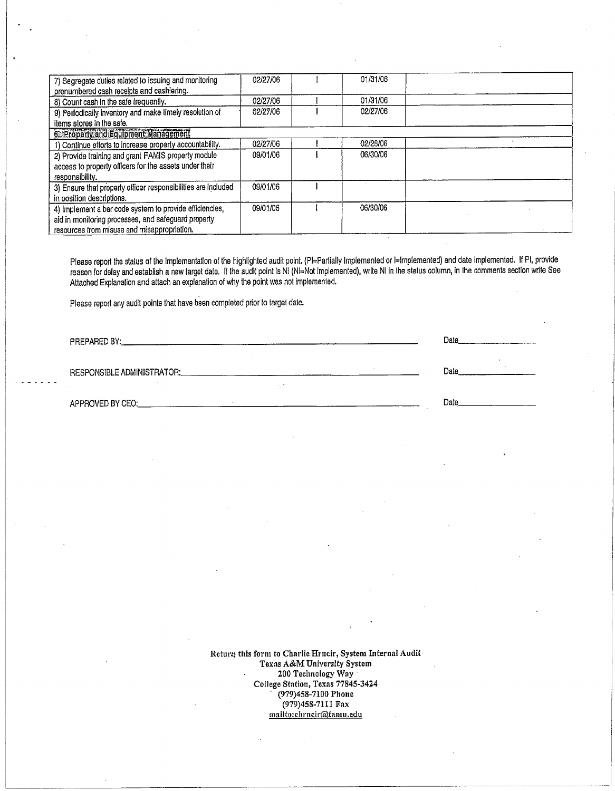| 7) Segregate duties related to issuing and monitoring         | 02/27/06 | 01/31/06 |  |
|---------------------------------------------------------------|----------|----------|--|
| prenumbered cash receipts and cashiering.                     |          |          |  |
| 8) Count cash in the safe frequently.                         | 02/27/06 | 01/31/06 |  |
| 9) Periodically Inventory and make timely resolution of       | 02/27/06 | 02/27/06 |  |
| items stores in the safe.                                     |          |          |  |
| 6. Property and Equipment Management                          |          |          |  |
| 1) Continue efforts to increase property accountability.      | 02/27/06 | 02/28/06 |  |
| 2) Provide training and grant FAMIS property module           | 09/01/06 | 06/30/06 |  |
| access to property officers for the assets under their        |          |          |  |
| responsibility.                                               |          |          |  |
| 3) Ensure that property officer responsibilities are included | 09/01/06 |          |  |
| in position descriptions.                                     |          |          |  |
| 4) Implement a bar code system to provide efficiencies,       | 09/01/06 | 06/30/06 |  |
| aid in monitoring processes, and safeguard property           |          |          |  |
| resources from misuse and misappropriation.                   |          |          |  |

Please report the status of the implementation of the highlighted audit point. (PI=Partially Implemented or I=Implemented) and date implemented. If PI, provide reason for delay and establish a new target date. If the audit point is NI (NI=Not Implemented), write NI in the status column, in the comments section write See Attached Explanation and attach an explanation of why the point was not implemented.

 $\sim$ 

 $\mathcal{L}^{\mathcal{L}}$ 

Please report any audit points that have been completed prior to target date.

PREPARED BY:

**RESPONSIBLE ADMINISTRATOR:** 

APPROVED BY CEO:

Date Date

Date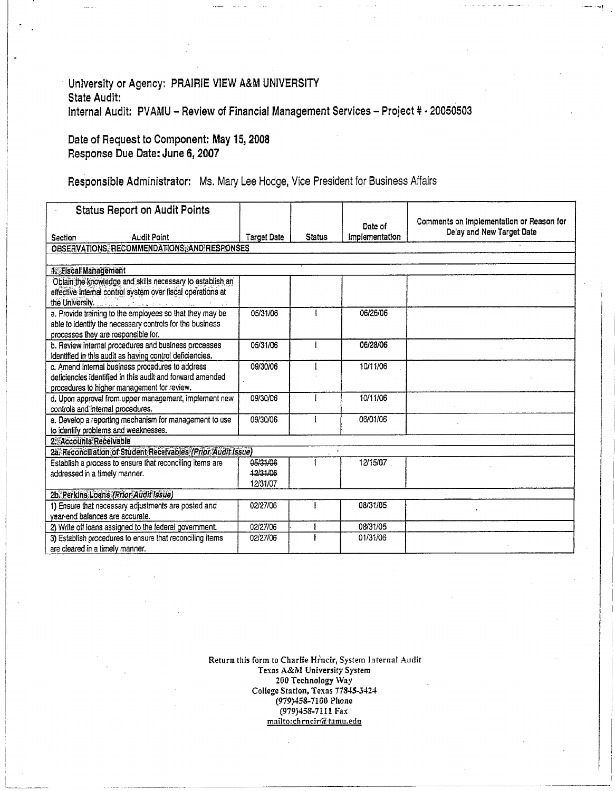#### University or Agency: PRAIRIE VIEW A&M UNIVERSITY **State Audit:** Internal Audit: PVAMU - Review of Financial Management Services - Project # - 20050503

#### Date of Request to Component: May 15, 2008 Response Due Date: June 6, 2007

# Responsible Administrator: Ms. Mary Lee Hodge, Vice President for Business Affairs

| <b>Status Report on Audit Points</b>                                                                                                                                                                                                                                                                                                                       |                                  |               |                           |                                                                       |
|------------------------------------------------------------------------------------------------------------------------------------------------------------------------------------------------------------------------------------------------------------------------------------------------------------------------------------------------------------|----------------------------------|---------------|---------------------------|-----------------------------------------------------------------------|
| <b>Audit Point</b><br>Section                                                                                                                                                                                                                                                                                                                              | <b>Target Date</b>               | <b>Status</b> | Date of<br>Implementation | Comments on Implementation or Reason for<br>Delay and New Target Date |
| OBSERVATIONS, RECOMMENDATIONS, AND RESPONSES                                                                                                                                                                                                                                                                                                               |                                  |               |                           |                                                                       |
|                                                                                                                                                                                                                                                                                                                                                            |                                  |               |                           |                                                                       |
| <b>It Fiscal Management</b>                                                                                                                                                                                                                                                                                                                                |                                  |               |                           |                                                                       |
| Obtain the knowledge and skills necessary to establish an<br>effective internal control system over fiscal operations at<br>the University, and the contract of the contract of the state of the state of the state of the state of the state of the state of the state of the state of the state of the state of the state of the state of the state of t |                                  |               |                           |                                                                       |
| a. Provide training to the employees so that they may be<br>able to identify the necessary controls for the business<br>processes they are responsible for.                                                                                                                                                                                                | 05/31/06                         |               | 06/26/06                  |                                                                       |
| b. Review internal procedures and business processes<br>identified in this audit as having control deficiencies.                                                                                                                                                                                                                                           | 05/31/06                         |               | 06/28/06                  |                                                                       |
| c. Amend internal business procedures to address<br>deficiencies identified in this audit and forward amended<br>procedures to higher management for review.                                                                                                                                                                                               | 09/30/06                         |               | 10/11/06                  |                                                                       |
| d. Upon approval from upper management, implement new<br>controls and internal procedures.                                                                                                                                                                                                                                                                 | 09/30/06                         |               | 10/11/06                  |                                                                       |
| e. Develop a reporting mechanism for management to use<br>to identify problems and weaknesses.                                                                                                                                                                                                                                                             | 09/30/06                         | ł             | 06/01/06                  |                                                                       |
| 2. Accounts Receivable                                                                                                                                                                                                                                                                                                                                     |                                  |               |                           |                                                                       |
| 2a. Reconciliation of Student Receivables (Prior Audit Issue)                                                                                                                                                                                                                                                                                              |                                  |               |                           |                                                                       |
| Establish a process to ensure that reconciling items are<br>addressed in a timely manner.                                                                                                                                                                                                                                                                  | 05/31/06<br>12/31/06<br>12/31/07 |               | 12/15/07                  |                                                                       |
| 2b. Perkins Loans (Prior Audit Issue)                                                                                                                                                                                                                                                                                                                      |                                  |               |                           |                                                                       |
| 1) Ensure that necessary adjustments are posted and<br>year-end balances are accurate.                                                                                                                                                                                                                                                                     | 02/27/06                         |               | 08/31/05                  |                                                                       |
| 2) Write off loans assigned to the federal government.                                                                                                                                                                                                                                                                                                     | 02/27/06                         |               | 08/31/05                  |                                                                       |
| 3) Establish procedures to ensure that reconciling items<br>are cleared in a timely manner.                                                                                                                                                                                                                                                                | 02/27/06                         |               | 01/31/06                  |                                                                       |